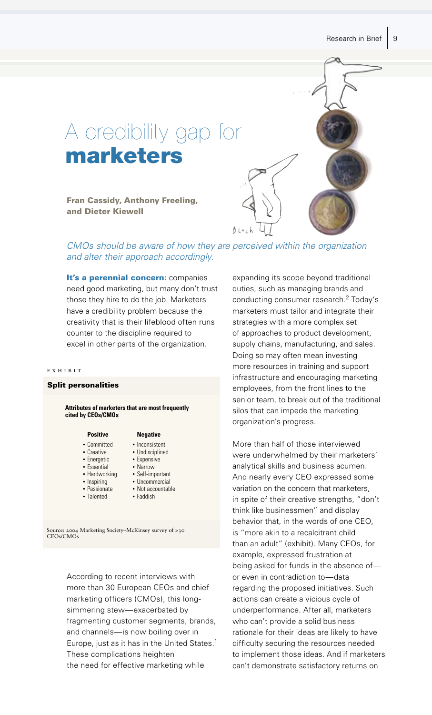

# CMOs should be aware of how they are perceived within the organization and alter their approach accordingly.

It's a perennial concern: companies need good marketing, but many don't trust those they hire to do the job. Marketers have a credibility problem because the creativity that is their lifeblood often runs counter to the discipline required to excel in other parts of the organization.

#### EXHIBIT

### **Split personalities**

## Attributes of marketers that are most frequently cited by CEOs/CMOs

#### **Positive**

- Committed
- Creative
- Energetic
- Essential
- Hardworking • Self-important
	-
- Inspiring · Passionate
- Talented
- Narrow • Uncommercial

• Expensive

**Negative** 

• Inconsistent

• Undisciplined

- Not accountable
- 
- Faddish

Source: 2004 Marketing Society-McKinsey survey of >30 CEO<sub>s</sub>/CMO<sub>s</sub>

> According to recent interviews with more than 30 European CEOs and chief marketing officers (CMOs), this longsimmering stew-exacerbated by fragmenting customer segments, brands, and channels-is now boiling over in Europe, just as it has in the United States.<sup>1</sup> These complications heighten the need for effective marketing while

expanding its scope beyond traditional duties, such as managing brands and conducting consumer research.<sup>2</sup> Today's marketers must tailor and integrate their strategies with a more complex set of approaches to product development, supply chains, manufacturing, and sales. Doing so may often mean investing more resources in training and support infrastructure and encouraging marketing employees, from the front lines to the senior team, to break out of the traditional silos that can impede the marketing organization's progress.

More than half of those interviewed were underwhelmed by their marketers' analytical skills and business acumen. And nearly every CEO expressed some variation on the concern that marketers, in spite of their creative strengths, "don't think like businessmen" and display behavior that, in the words of one CEO, is "more akin to a recalcitrant child than an adult" (exhibit). Many CEOs, for example, expressed frustration at being asked for funds in the absence ofor even in contradiction to-data regarding the proposed initiatives. Such actions can create a vicious cycle of underperformance. After all, marketers who can't provide a solid business rationale for their ideas are likely to have difficulty securing the resources needed to implement those ideas. And if marketers can't demonstrate satisfactory returns on